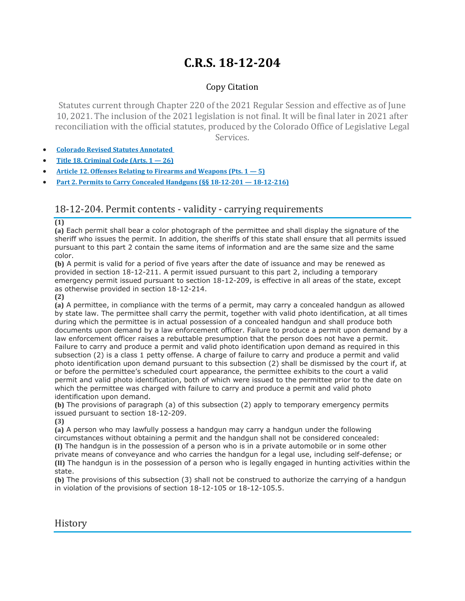## **C.R.S. 18-12-204**

## Copy Citation

Statutes current through Chapter 220 of the 2021 Regular Session and effective as of June 10, 2021. The inclusion of the 2021 legislation is not final. It will be final later in 2021 after reconciliation with the official statutes, produced by the Colorado Office of Legislative Legal Services.

- **Colorado Revised Statutes [Annotated](https://advance.lexis.com/documentpage/?pdmfid=1000516&crid=2ade227b-13db-4e11-ae1c-b916442648be&pdistocdocslideraccess=true&config=014FJAAyNGJkY2Y4Zi1mNjgyLTRkN2YtYmE4OS03NTYzNzYzOTg0OGEKAFBvZENhdGFsb2d592qv2Kywlf8caKqYROP5&pddocfullpath=%2Fshared%2Fdocument%2Fstatutes-legislation%2Furn%3AcontentItem%3A61P5-WSW1-DYDC-J3CY-00008-00&pdcomponentid=234177&pdtocnodeidentifier=AASAAWAACAAE&ecomp=sssdkkk&prid=f85587be-dabc-41d7-8c80-b7852b5cf37d)**
- **Title 18. [Criminal](https://advance.lexis.com/documentpage/?pdmfid=1000516&crid=2ade227b-13db-4e11-ae1c-b916442648be&pdistocdocslideraccess=true&config=014FJAAyNGJkY2Y4Zi1mNjgyLTRkN2YtYmE4OS03NTYzNzYzOTg0OGEKAFBvZENhdGFsb2d592qv2Kywlf8caKqYROP5&pddocfullpath=%2Fshared%2Fdocument%2Fstatutes-legislation%2Furn%3AcontentItem%3A61P5-WSW1-DYDC-J3CY-00008-00&pdcomponentid=234177&pdtocnodeidentifier=AASAAWAACAAE&ecomp=sssdkkk&prid=f85587be-dabc-41d7-8c80-b7852b5cf37d) Code (Arts. 1 — 26)**
- **Article 12. Offenses Relating to Firearms and [Weapons](https://advance.lexis.com/documentpage/?pdmfid=1000516&crid=2ade227b-13db-4e11-ae1c-b916442648be&pdistocdocslideraccess=true&config=014FJAAyNGJkY2Y4Zi1mNjgyLTRkN2YtYmE4OS03NTYzNzYzOTg0OGEKAFBvZENhdGFsb2d592qv2Kywlf8caKqYROP5&pddocfullpath=%2Fshared%2Fdocument%2Fstatutes-legislation%2Furn%3AcontentItem%3A61P5-WSW1-DYDC-J3CY-00008-00&pdcomponentid=234177&pdtocnodeidentifier=AASAAWAACAAE&ecomp=sssdkkk&prid=f85587be-dabc-41d7-8c80-b7852b5cf37d) (Pts. 1 — 5)**
- **Part 2. Permits to Carry Concealed Handguns (§§ 18-12-201 — [18-12-216\)](https://advance.lexis.com/documentpage/?pdmfid=1000516&crid=2ade227b-13db-4e11-ae1c-b916442648be&pdistocdocslideraccess=true&config=014FJAAyNGJkY2Y4Zi1mNjgyLTRkN2YtYmE4OS03NTYzNzYzOTg0OGEKAFBvZENhdGFsb2d592qv2Kywlf8caKqYROP5&pddocfullpath=%2Fshared%2Fdocument%2Fstatutes-legislation%2Furn%3AcontentItem%3A61P5-WSW1-DYDC-J3CY-00008-00&pdcomponentid=234177&pdtocnodeidentifier=AASAAWAACAAE&ecomp=sssdkkk&prid=f85587be-dabc-41d7-8c80-b7852b5cf37d)**

## 18-12-204. Permit contents - validity - carrying requirements

**(1)**

**(a)** Each permit shall bear a color photograph of the permittee and shall display the signature of the sheriff who issues the permit. In addition, the sheriffs of this state shall ensure that all permits issued pursuant to this part 2 contain the same items of information and are the same size and the same color.

**(b)** A permit is valid for a period of five years after the date of issuance and may be renewed as provided in section 18-12-211. A permit issued pursuant to this part 2, including a temporary emergency permit issued pursuant to section 18-12-209, is effective in all areas of the state, except as otherwise provided in section 18-12-214.

**(2)**

**(a)** A permittee, in compliance with the terms of a permit, may carry a concealed handgun as allowed by state law. The permittee shall carry the permit, together with valid photo identification, at all times during which the permittee is in actual possession of a concealed handgun and shall produce both documents upon demand by a law enforcement officer. Failure to produce a permit upon demand by a law enforcement officer raises a rebuttable presumption that the person does not have a permit. Failure to carry and produce a permit and valid photo identification upon demand as required in this subsection (2) is a class 1 petty offense. A charge of failure to carry and produce a permit and valid photo identification upon demand pursuant to this subsection (2) shall be dismissed by the court if, at or before the permittee's scheduled court appearance, the permittee exhibits to the court a valid permit and valid photo identification, both of which were issued to the permittee prior to the date on which the permittee was charged with failure to carry and produce a permit and valid photo identification upon demand.

**(b)** The provisions of paragraph (a) of this subsection (2) apply to temporary emergency permits issued pursuant to section 18-12-209.

**(3)**

**(a)** A person who may lawfully possess a handgun may carry a handgun under the following circumstances without obtaining a permit and the handgun shall not be considered concealed: **(I)** The handgun is in the possession of a person who is in a private automobile or in some other private means of conveyance and who carries the handgun for a legal use, including self-defense; or **(II)** The handgun is in the possession of a person who is legally engaged in hunting activities within the state.

**(b)** The provisions of this subsection (3) shall not be construed to authorize the carrying of a handgun in violation of the provisions of section 18-12-105 or 18-12-105.5.

**History**